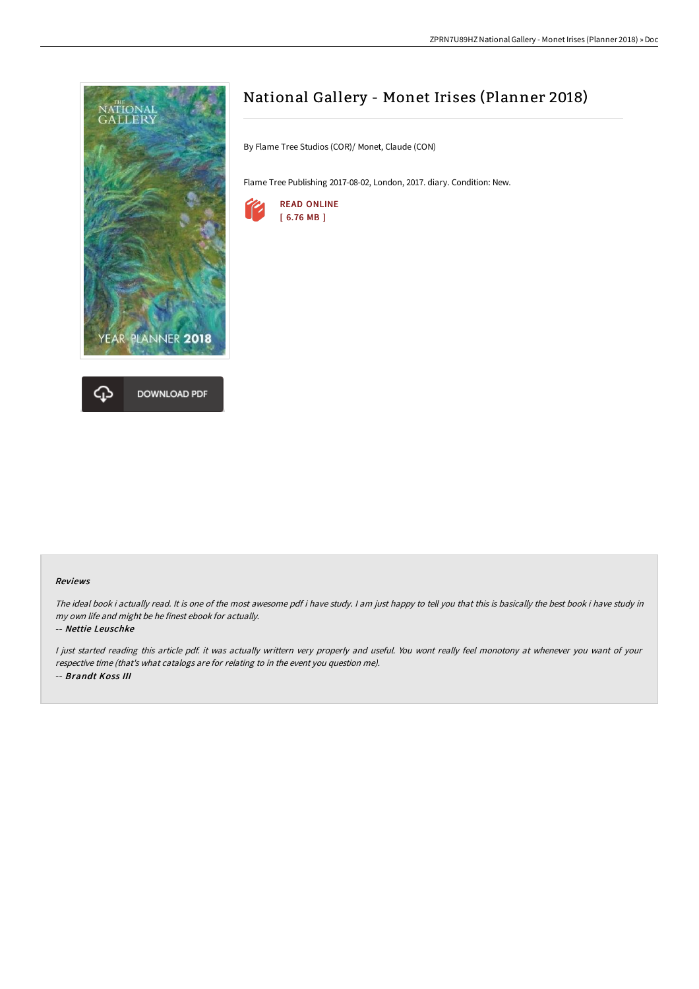



# National Gallery - Monet Irises (Planner 2018)

By Flame Tree Studios (COR)/ Monet, Claude (CON)

Flame Tree Publishing 2017-08-02, London, 2017. diary. Condition: New.



#### Reviews

The ideal book i actually read. It is one of the most awesome pdf i have study. I am just happy to tell you that this is basically the best book i have study in my own life and might be he finest ebook for actually.

#### -- Nettie Leuschke

I just started reading this article pdf. it was actually writtern very properly and useful. You wont really feel monotony at whenever you want of your respective time (that's what catalogs are for relating to in the event you question me). -- Brandt Koss III